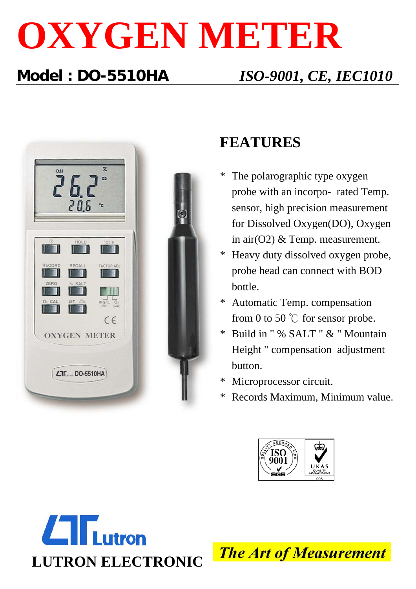# **OXYGEN METER**

## **Model : DO-5510HA** *ISO-9001, CE, IEC1010*



### **FEATURES**

- The polarographic type oxygen probe with an incorpo- rated Temp. sensor, high precision measurement for Dissolved Oxygen(DO), Oxygen in air(O2) & Temp. measurement.
- Heavy duty dissolved oxygen probe, probe head can connect with BOD bottle.
- Automatic Temp. compensation from 0 to 50  $\degree$ C for sensor probe.
- \* Build in " % SALT " & " Mountain Height " compensation adjustment button.
- Microprocessor circuit.
- Records Maximum, Minimum value.





**The Art of Measurement**